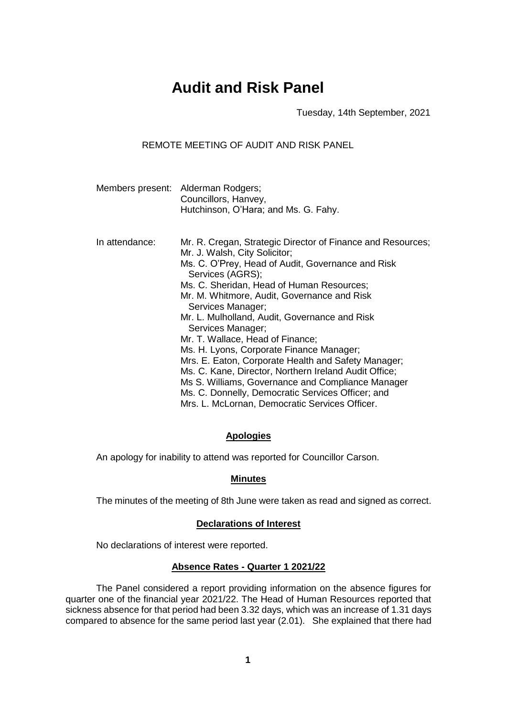# **Audit and Risk Panel**

Tuesday, 14th September, 2021

REMOTE MEETING OF AUDIT AND RISK PANEL

|                | Members present: Alderman Rodgers;<br>Councillors, Hanvey,<br>Hutchinson, O'Hara; and Ms. G. Fahy. |
|----------------|----------------------------------------------------------------------------------------------------|
| In attendance: | Mr. R. Cregan, Strategic Director of Finance and Resources;                                        |

Mr. J. Walsh, City Solicitor; Ms. C. O'Prey, Head of Audit, Governance and Risk Services (AGRS); Ms. C. Sheridan, Head of Human Resources; Mr. M. Whitmore, Audit, Governance and Risk Services Manager; Mr. L. Mulholland, Audit, Governance and Risk Services Manager; Mr. T. Wallace, Head of Finance; Ms. H. Lyons, Corporate Finance Manager; Mrs. E. Eaton, Corporate Health and Safety Manager; Ms. C. Kane, Director, Northern Ireland Audit Office; Ms S. Williams, Governance and Compliance Manager Ms. C. Donnelly, Democratic Services Officer; and Mrs. L. McLornan, Democratic Services Officer.

# **Apologies**

An apology for inability to attend was reported for Councillor Carson.

# **Minutes**

The minutes of the meeting of 8th June were taken as read and signed as correct.

# **Declarations of Interest**

No declarations of interest were reported.

# **Absence Rates - Quarter 1 2021/22**

The Panel considered a report providing information on the absence figures for quarter one of the financial year 2021/22. The Head of Human Resources reported that sickness absence for that period had been 3.32 days, which was an increase of 1.31 days compared to absence for the same period last year (2.01). She explained that there had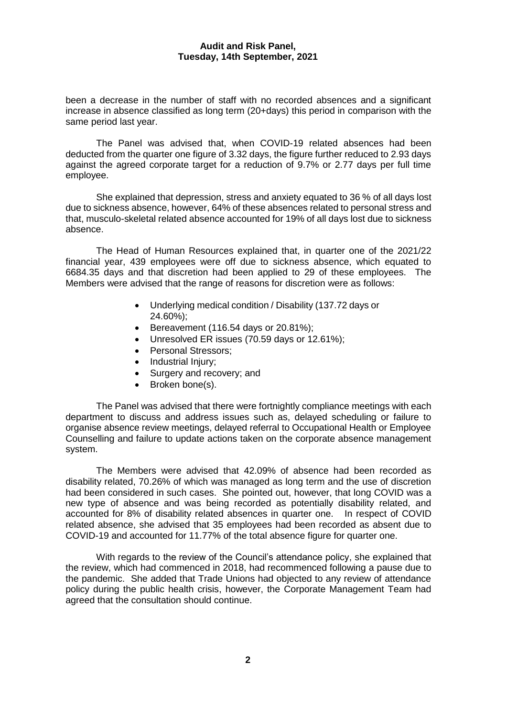been a decrease in the number of staff with no recorded absences and a significant increase in absence classified as long term (20+days) this period in comparison with the same period last year.

The Panel was advised that, when COVID-19 related absences had been deducted from the quarter one figure of 3.32 days, the figure further reduced to 2.93 days against the agreed corporate target for a reduction of 9.7% or 2.77 days per full time employee.

She explained that depression, stress and anxiety equated to 36 % of all days lost due to sickness absence, however, 64% of these absences related to personal stress and that, musculo-skeletal related absence accounted for 19% of all days lost due to sickness absence.

The Head of Human Resources explained that, in quarter one of the 2021/22 financial year, 439 employees were off due to sickness absence, which equated to 6684.35 days and that discretion had been applied to 29 of these employees. The Members were advised that the range of reasons for discretion were as follows:

- Underlying medical condition / Disability (137.72 days or 24.60%);
- Bereavement (116.54 days or  $20.81\%$ );
- Unresolved ER issues (70.59 days or 12.61%);
- Personal Stressors:
- Industrial Injury;
- Surgery and recovery; and
- Broken bone(s).

The Panel was advised that there were fortnightly compliance meetings with each department to discuss and address issues such as, delayed scheduling or failure to organise absence review meetings, delayed referral to Occupational Health or Employee Counselling and failure to update actions taken on the corporate absence management system.

The Members were advised that 42.09% of absence had been recorded as disability related, 70.26% of which was managed as long term and the use of discretion had been considered in such cases. She pointed out, however, that long COVID was a new type of absence and was being recorded as potentially disability related, and accounted for 8% of disability related absences in quarter one. In respect of COVID related absence, she advised that 35 employees had been recorded as absent due to COVID-19 and accounted for 11.77% of the total absence figure for quarter one.

With regards to the review of the Council's attendance policy, she explained that the review, which had commenced in 2018, had recommenced following a pause due to the pandemic. She added that Trade Unions had objected to any review of attendance policy during the public health crisis, however, the Corporate Management Team had agreed that the consultation should continue.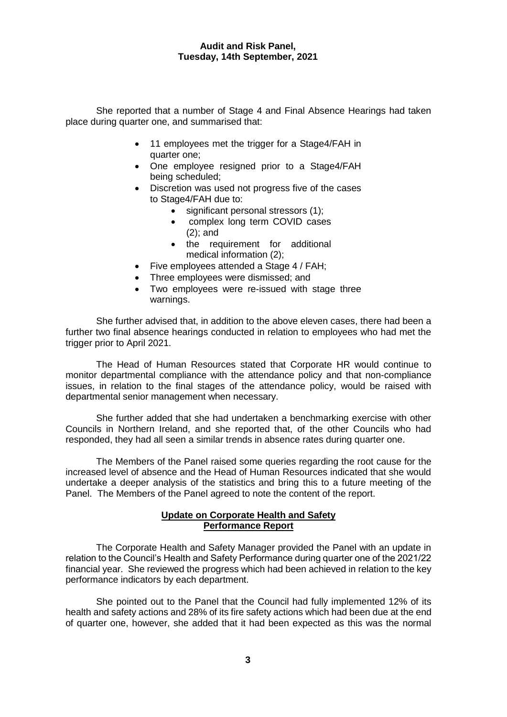She reported that a number of Stage 4 and Final Absence Hearings had taken place during quarter one, and summarised that:

- 11 employees met the trigger for a Stage4/FAH in quarter one;
- One employee resigned prior to a Stage4/FAH being scheduled;
- Discretion was used not progress five of the cases to Stage4/FAH due to:
	- significant personal stressors (1);
	- complex long term COVID cases (2); and
	- the requirement for additional medical information (2);
- Five employees attended a Stage 4 / FAH;
- Three employees were dismissed; and
- Two employees were re-issued with stage three warnings.

She further advised that, in addition to the above eleven cases, there had been a further two final absence hearings conducted in relation to employees who had met the trigger prior to April 2021.

The Head of Human Resources stated that Corporate HR would continue to monitor departmental compliance with the attendance policy and that non-compliance issues, in relation to the final stages of the attendance policy, would be raised with departmental senior management when necessary.

She further added that she had undertaken a benchmarking exercise with other Councils in Northern Ireland, and she reported that, of the other Councils who had responded, they had all seen a similar trends in absence rates during quarter one.

The Members of the Panel raised some queries regarding the root cause for the increased level of absence and the Head of Human Resources indicated that she would undertake a deeper analysis of the statistics and bring this to a future meeting of the Panel. The Members of the Panel agreed to note the content of the report.

# **Update on Corporate Health and Safety Performance Report**

The Corporate Health and Safety Manager provided the Panel with an update in relation to the Council's Health and Safety Performance during quarter one of the 2021/22 financial year. She reviewed the progress which had been achieved in relation to the key performance indicators by each department.

She pointed out to the Panel that the Council had fully implemented 12% of its health and safety actions and 28% of its fire safety actions which had been due at the end of quarter one, however, she added that it had been expected as this was the normal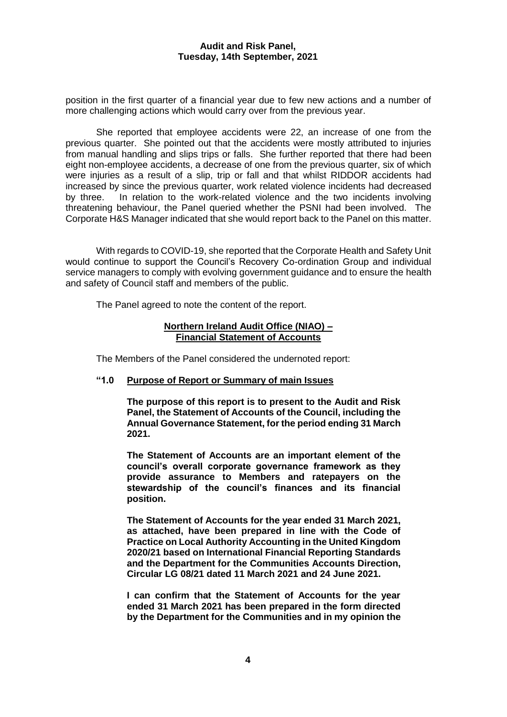position in the first quarter of a financial year due to few new actions and a number of more challenging actions which would carry over from the previous year.

She reported that employee accidents were 22, an increase of one from the previous quarter. She pointed out that the accidents were mostly attributed to injuries from manual handling and slips trips or falls. She further reported that there had been eight non-employee accidents, a decrease of one from the previous quarter, six of which were injuries as a result of a slip, trip or fall and that whilst RIDDOR accidents had increased by since the previous quarter, work related violence incidents had decreased by three. In relation to the work-related violence and the two incidents involving threatening behaviour, the Panel queried whether the PSNI had been involved. The Corporate H&S Manager indicated that she would report back to the Panel on this matter.

With regards to COVID-19, she reported that the Corporate Health and Safety Unit would continue to support the Council's Recovery Co-ordination Group and individual service managers to comply with evolving government guidance and to ensure the health and safety of Council staff and members of the public.

The Panel agreed to note the content of the report.

# **Northern Ireland Audit Office (NIAO) – Financial Statement of Accounts**

The Members of the Panel considered the undernoted report:

# **"1.0 Purpose of Report or Summary of main Issues**

**The purpose of this report is to present to the Audit and Risk Panel, the Statement of Accounts of the Council, including the Annual Governance Statement, for the period ending 31 March 2021.**

**The Statement of Accounts are an important element of the council's overall corporate governance framework as they provide assurance to Members and ratepayers on the stewardship of the council's finances and its financial position.**

**The Statement of Accounts for the year ended 31 March 2021, as attached, have been prepared in line with the Code of Practice on Local Authority Accounting in the United Kingdom 2020/21 based on International Financial Reporting Standards and the Department for the Communities Accounts Direction, Circular LG 08/21 dated 11 March 2021 and 24 June 2021.**

**I can confirm that the Statement of Accounts for the year ended 31 March 2021 has been prepared in the form directed by the Department for the Communities and in my opinion the**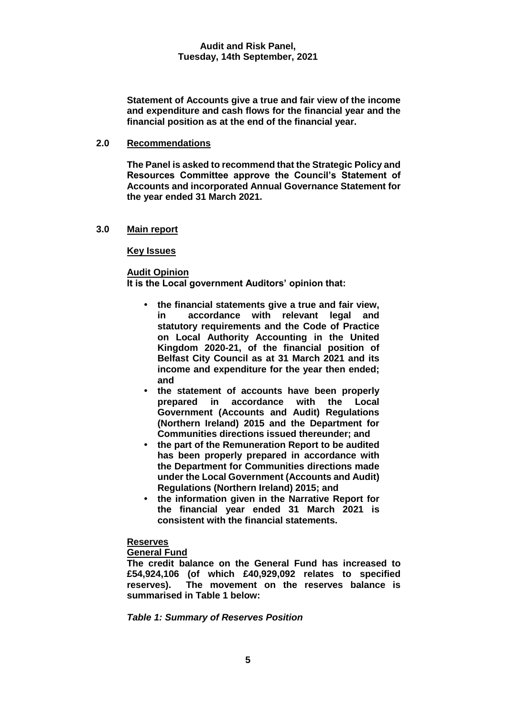**Statement of Accounts give a true and fair view of the income and expenditure and cash flows for the financial year and the financial position as at the end of the financial year.**

#### **2.0 Recommendations**

**The Panel is asked to recommend that the Strategic Policy and Resources Committee approve the Council's Statement of Accounts and incorporated Annual Governance Statement for the year ended 31 March 2021.**

# **3.0 Main report**

# **Key Issues**

# **Audit Opinion**

**It is the Local government Auditors' opinion that:**

- **• the financial statements give a true and fair view, in accordance with relevant legal and statutory requirements and the Code of Practice on Local Authority Accounting in the United Kingdom 2020-21, of the financial position of Belfast City Council as at 31 March 2021 and its income and expenditure for the year then ended; and**
- **• the statement of accounts have been properly prepared in accordance with the Local Government (Accounts and Audit) Regulations (Northern Ireland) 2015 and the Department for Communities directions issued thereunder; and**
- **• the part of the Remuneration Report to be audited has been properly prepared in accordance with the Department for Communities directions made under the Local Government (Accounts and Audit) Regulations (Northern Ireland) 2015; and**
- **• the information given in the Narrative Report for the financial year ended 31 March 2021 is consistent with the financial statements.**

# **Reserves**

# **General Fund**

**The credit balance on the General Fund has increased to £54,924,106 (of which £40,929,092 relates to specified reserves). The movement on the reserves balance is summarised in Table 1 below:**

*Table 1: Summary of Reserves Position*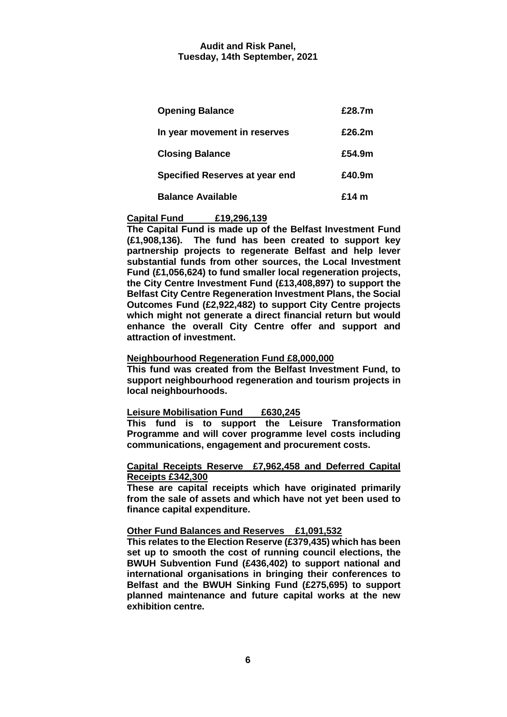| <b>Opening Balance</b>                | £28.7m  |
|---------------------------------------|---------|
| In year movement in reserves          | £26.2m  |
| <b>Closing Balance</b>                | £54.9m  |
| <b>Specified Reserves at year end</b> | £40.9m  |
| <b>Balance Available</b>              | £14 $m$ |

# **Capital Fund £19,296,139**

**The Capital Fund is made up of the Belfast Investment Fund (£1,908,136). The fund has been created to support key partnership projects to regenerate Belfast and help lever substantial funds from other sources, the Local Investment Fund (£1,056,624) to fund smaller local regeneration projects, the City Centre Investment Fund (£13,408,897) to support the Belfast City Centre Regeneration Investment Plans, the Social Outcomes Fund (£2,922,482) to support City Centre projects which might not generate a direct financial return but would enhance the overall City Centre offer and support and attraction of investment.**

# **Neighbourhood Regeneration Fund £8,000,000**

**This fund was created from the Belfast Investment Fund, to support neighbourhood regeneration and tourism projects in local neighbourhoods.**

#### **Leisure Mobilisation Fund £630,245**

**This fund is to support the Leisure Transformation Programme and will cover programme level costs including communications, engagement and procurement costs.**

#### **Capital Receipts Reserve £7,962,458 and Deferred Capital Receipts £342,300**

**These are capital receipts which have originated primarily from the sale of assets and which have not yet been used to finance capital expenditure.**

#### **Other Fund Balances and Reserves £1,091,532**

**This relates to the Election Reserve (£379,435) which has been set up to smooth the cost of running council elections, the BWUH Subvention Fund (£436,402) to support national and international organisations in bringing their conferences to Belfast and the BWUH Sinking Fund (£275,695) to support planned maintenance and future capital works at the new exhibition centre.**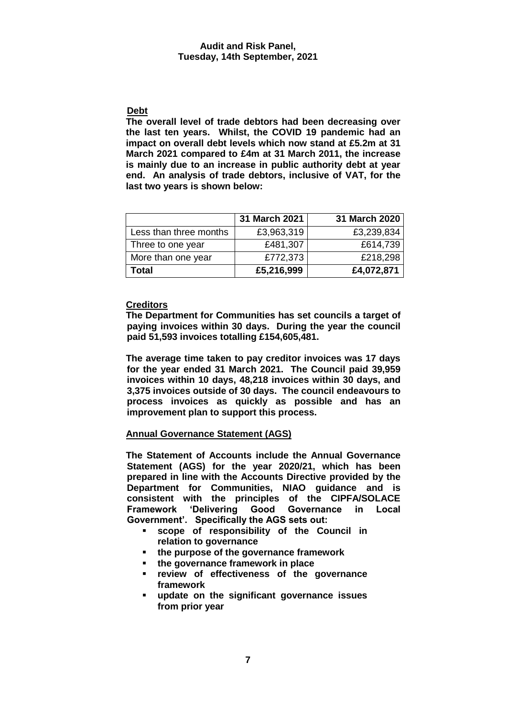# **Debt**

**The overall level of trade debtors had been decreasing over the last ten years. Whilst, the COVID 19 pandemic had an impact on overall debt levels which now stand at £5.2m at 31 March 2021 compared to £4m at 31 March 2011, the increase is mainly due to an increase in public authority debt at year end. An analysis of trade debtors, inclusive of VAT, for the last two years is shown below:**

|                        | 31 March 2021 | 31 March 2020 |
|------------------------|---------------|---------------|
| Less than three months | £3,963,319    | £3,239,834    |
| Three to one year      | £481,307      | £614,739      |
| More than one year     | £772,373      | £218,298      |
| Total                  | £5,216,999    | £4,072,871    |

# **Creditors**

**The Department for Communities has set councils a target of paying invoices within 30 days. During the year the council paid 51,593 invoices totalling £154,605,481.**

**The average time taken to pay creditor invoices was 17 days for the year ended 31 March 2021. The Council paid 39,959 invoices within 10 days, 48,218 invoices within 30 days, and 3,375 invoices outside of 30 days. The council endeavours to process invoices as quickly as possible and has an improvement plan to support this process.**

# **Annual Governance Statement (AGS)**

**The Statement of Accounts include the Annual Governance Statement (AGS) for the year 2020/21, which has been prepared in line with the Accounts Directive provided by the Department for Communities, NIAO guidance and is consistent with the principles of the CIPFA/SOLACE Framework 'Delivering Good Governance in Local Government'. Specifically the AGS sets out:**

- **scope of responsibility of the Council in relation to governance**
- **the purpose of the governance framework**
- **the governance framework in place**
- **review of effectiveness of the governance framework**
- **update on the significant governance issues from prior year**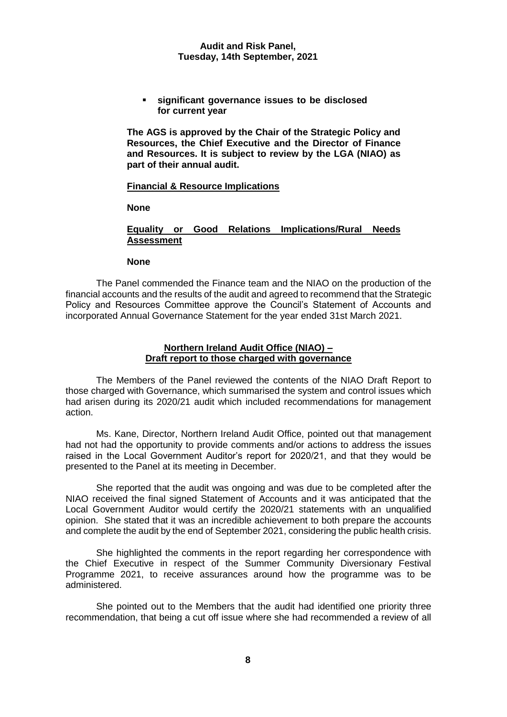**significant governance issues to be disclosed for current year**

**The AGS is approved by the Chair of the Strategic Policy and Resources, the Chief Executive and the Director of Finance and Resources. It is subject to review by the LGA (NIAO) as part of their annual audit.**

#### **Financial & Resource Implications**

**None**

# **Equality or Good Relations Implications/Rural Needs Assessment**

#### **None**

The Panel commended the Finance team and the NIAO on the production of the financial accounts and the results of the audit and agreed to recommend that the Strategic Policy and Resources Committee approve the Council's Statement of Accounts and incorporated Annual Governance Statement for the year ended 31st March 2021.

# **Northern Ireland Audit Office (NIAO) – Draft report to those charged with governance**

The Members of the Panel reviewed the contents of the NIAO Draft Report to those charged with Governance, which summarised the system and control issues which had arisen during its 2020/21 audit which included recommendations for management action.

Ms. Kane, Director, Northern Ireland Audit Office, pointed out that management had not had the opportunity to provide comments and/or actions to address the issues raised in the Local Government Auditor's report for 2020/21, and that they would be presented to the Panel at its meeting in December.

She reported that the audit was ongoing and was due to be completed after the NIAO received the final signed Statement of Accounts and it was anticipated that the Local Government Auditor would certify the 2020/21 statements with an unqualified opinion. She stated that it was an incredible achievement to both prepare the accounts and complete the audit by the end of September 2021, considering the public health crisis.

She highlighted the comments in the report regarding her correspondence with the Chief Executive in respect of the Summer Community Diversionary Festival Programme 2021, to receive assurances around how the programme was to be administered.

She pointed out to the Members that the audit had identified one priority three recommendation, that being a cut off issue where she had recommended a review of all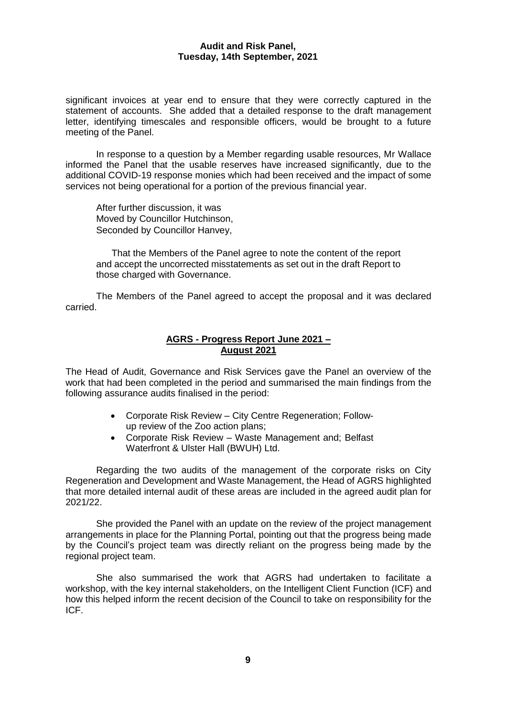significant invoices at year end to ensure that they were correctly captured in the statement of accounts. She added that a detailed response to the draft management letter, identifying timescales and responsible officers, would be brought to a future meeting of the Panel.

In response to a question by a Member regarding usable resources, Mr Wallace informed the Panel that the usable reserves have increased significantly, due to the additional COVID-19 response monies which had been received and the impact of some services not being operational for a portion of the previous financial year.

After further discussion, it was Moved by Councillor Hutchinson, Seconded by Councillor Hanvey,

That the Members of the Panel agree to note the content of the report and accept the uncorrected misstatements as set out in the draft Report to those charged with Governance.

The Members of the Panel agreed to accept the proposal and it was declared carried.

# **AGRS - Progress Report June 2021 – August 2021**

The Head of Audit, Governance and Risk Services gave the Panel an overview of the work that had been completed in the period and summarised the main findings from the following assurance audits finalised in the period:

- Corporate Risk Review City Centre Regeneration; Followup review of the Zoo action plans;
- Corporate Risk Review Waste Management and; Belfast Waterfront & Ulster Hall (BWUH) Ltd.

Regarding the two audits of the management of the corporate risks on City Regeneration and Development and Waste Management, the Head of AGRS highlighted that more detailed internal audit of these areas are included in the agreed audit plan for 2021/22.

She provided the Panel with an update on the review of the project management arrangements in place for the Planning Portal, pointing out that the progress being made by the Council's project team was directly reliant on the progress being made by the regional project team.

She also summarised the work that AGRS had undertaken to facilitate a workshop, with the key internal stakeholders, on the Intelligent Client Function (ICF) and how this helped inform the recent decision of the Council to take on responsibility for the ICF.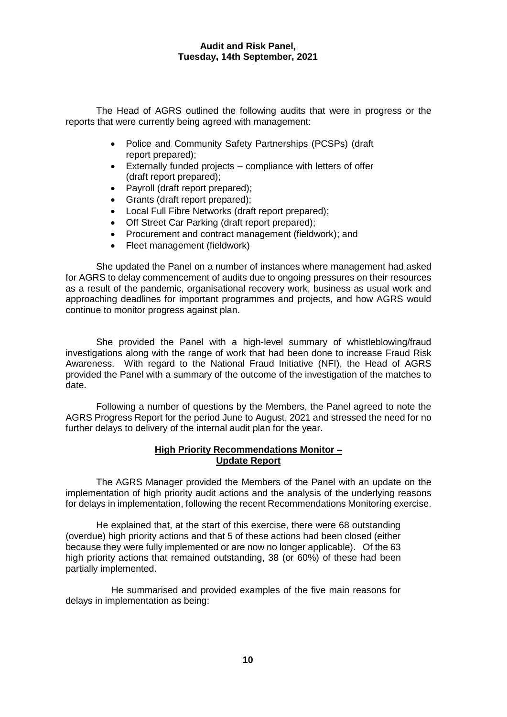The Head of AGRS outlined the following audits that were in progress or the reports that were currently being agreed with management:

- Police and Community Safety Partnerships (PCSPs) (draft report prepared);
- Externally funded projects compliance with letters of offer (draft report prepared);
- Payroll (draft report prepared);
- Grants (draft report prepared);
- Local Full Fibre Networks (draft report prepared);
- Off Street Car Parking (draft report prepared);
- Procurement and contract management (fieldwork): and
- Fleet management (fieldwork)

She updated the Panel on a number of instances where management had asked for AGRS to delay commencement of audits due to ongoing pressures on their resources as a result of the pandemic, organisational recovery work, business as usual work and approaching deadlines for important programmes and projects, and how AGRS would continue to monitor progress against plan.

She provided the Panel with a high-level summary of whistleblowing/fraud investigations along with the range of work that had been done to increase Fraud Risk Awareness. With regard to the National Fraud Initiative (NFI), the Head of AGRS provided the Panel with a summary of the outcome of the investigation of the matches to date.

Following a number of questions by the Members, the Panel agreed to note the AGRS Progress Report for the period June to August, 2021 and stressed the need for no further delays to delivery of the internal audit plan for the year.

# **High Priority Recommendations Monitor – Update Report**

The AGRS Manager provided the Members of the Panel with an update on the implementation of high priority audit actions and the analysis of the underlying reasons for delays in implementation, following the recent Recommendations Monitoring exercise.

He explained that, at the start of this exercise, there were 68 outstanding (overdue) high priority actions and that 5 of these actions had been closed (either because they were fully implemented or are now no longer applicable). Of the 63 high priority actions that remained outstanding, 38 (or 60%) of these had been partially implemented.

He summarised and provided examples of the five main reasons for delays in implementation as being: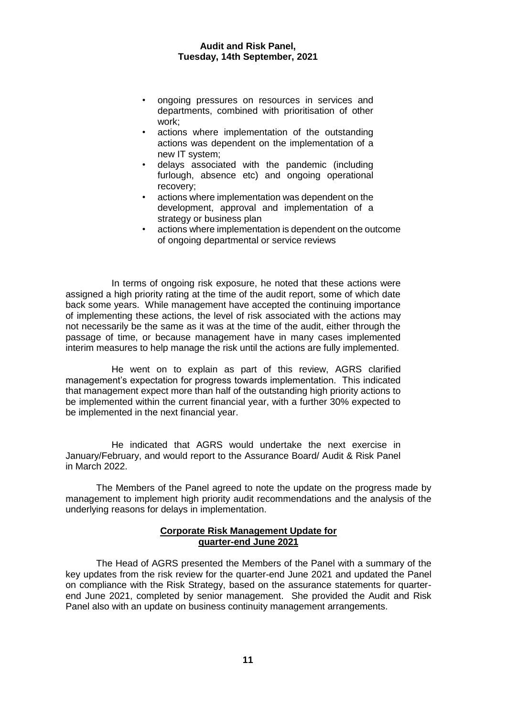- ongoing pressures on resources in services and departments, combined with prioritisation of other work;
- actions where implementation of the outstanding actions was dependent on the implementation of a new IT system;
- delays associated with the pandemic (including furlough, absence etc) and ongoing operational recovery;
- actions where implementation was dependent on the development, approval and implementation of a strategy or business plan
- actions where implementation is dependent on the outcome of ongoing departmental or service reviews

In terms of ongoing risk exposure, he noted that these actions were assigned a high priority rating at the time of the audit report, some of which date back some years. While management have accepted the continuing importance of implementing these actions, the level of risk associated with the actions may not necessarily be the same as it was at the time of the audit, either through the passage of time, or because management have in many cases implemented interim measures to help manage the risk until the actions are fully implemented.

He went on to explain as part of this review, AGRS clarified management's expectation for progress towards implementation. This indicated that management expect more than half of the outstanding high priority actions to be implemented within the current financial year, with a further 30% expected to be implemented in the next financial year.

He indicated that AGRS would undertake the next exercise in January/February, and would report to the Assurance Board/ Audit & Risk Panel in March 2022.

The Members of the Panel agreed to note the update on the progress made by management to implement high priority audit recommendations and the analysis of the underlying reasons for delays in implementation.

# **Corporate Risk Management Update for quarter-end June 2021**

The Head of AGRS presented the Members of the Panel with a summary of the key updates from the risk review for the quarter-end June 2021 and updated the Panel on compliance with the Risk Strategy, based on the assurance statements for quarterend June 2021, completed by senior management. She provided the Audit and Risk Panel also with an update on business continuity management arrangements.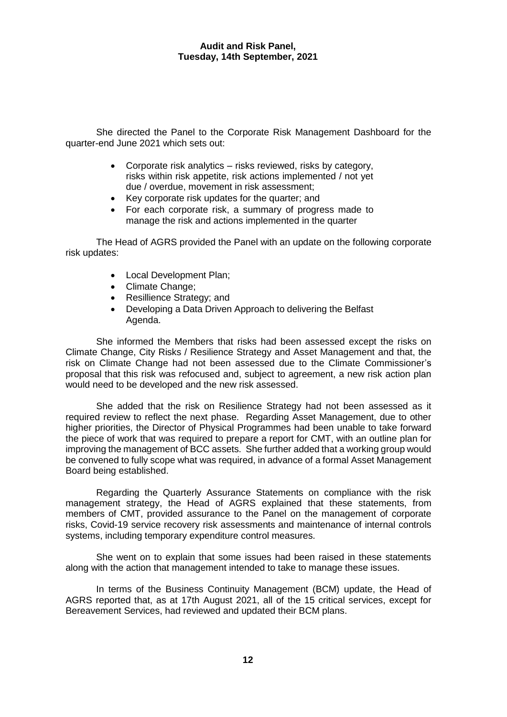She directed the Panel to the Corporate Risk Management Dashboard for the quarter-end June 2021 which sets out:

- Corporate risk analytics risks reviewed, risks by category, risks within risk appetite, risk actions implemented / not yet due / overdue, movement in risk assessment;
- Key corporate risk updates for the quarter; and
- For each corporate risk, a summary of progress made to manage the risk and actions implemented in the quarter

The Head of AGRS provided the Panel with an update on the following corporate risk updates:

- Local Development Plan;
- Climate Change:
- Resillience Strategy; and
- Developing a Data Driven Approach to delivering the Belfast Agenda.

She informed the Members that risks had been assessed except the risks on Climate Change, City Risks / Resilience Strategy and Asset Management and that, the risk on Climate Change had not been assessed due to the Climate Commissioner's proposal that this risk was refocused and, subject to agreement, a new risk action plan would need to be developed and the new risk assessed.

She added that the risk on Resilience Strategy had not been assessed as it required review to reflect the next phase. Regarding Asset Management, due to other higher priorities, the Director of Physical Programmes had been unable to take forward the piece of work that was required to prepare a report for CMT, with an outline plan for improving the management of BCC assets. She further added that a working group would be convened to fully scope what was required, in advance of a formal Asset Management Board being established.

Regarding the Quarterly Assurance Statements on compliance with the risk management strategy, the Head of AGRS explained that these statements, from members of CMT, provided assurance to the Panel on the management of corporate risks, Covid-19 service recovery risk assessments and maintenance of internal controls systems, including temporary expenditure control measures.

She went on to explain that some issues had been raised in these statements along with the action that management intended to take to manage these issues.

In terms of the Business Continuity Management (BCM) update, the Head of AGRS reported that, as at 17th August 2021, all of the 15 critical services, except for Bereavement Services, had reviewed and updated their BCM plans.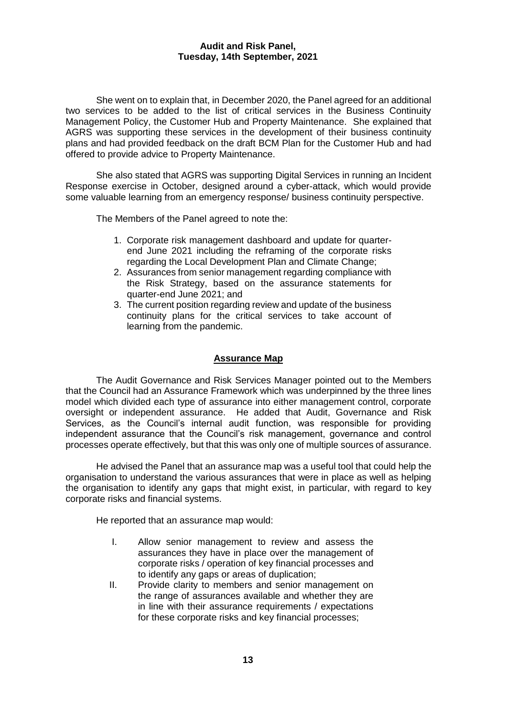She went on to explain that, in December 2020, the Panel agreed for an additional two services to be added to the list of critical services in the Business Continuity Management Policy, the Customer Hub and Property Maintenance. She explained that AGRS was supporting these services in the development of their business continuity plans and had provided feedback on the draft BCM Plan for the Customer Hub and had offered to provide advice to Property Maintenance.

She also stated that AGRS was supporting Digital Services in running an Incident Response exercise in October, designed around a cyber-attack, which would provide some valuable learning from an emergency response/ business continuity perspective.

The Members of the Panel agreed to note the:

- 1. Corporate risk management dashboard and update for quarterend June 2021 including the reframing of the corporate risks regarding the Local Development Plan and Climate Change;
- 2. Assurances from senior management regarding compliance with the Risk Strategy, based on the assurance statements for quarter-end June 2021; and
- 3. The current position regarding review and update of the business continuity plans for the critical services to take account of learning from the pandemic.

## **Assurance Map**

The Audit Governance and Risk Services Manager pointed out to the Members that the Council had an Assurance Framework which was underpinned by the three lines model which divided each type of assurance into either management control, corporate oversight or independent assurance. He added that Audit, Governance and Risk Services, as the Council's internal audit function, was responsible for providing independent assurance that the Council's risk management, governance and control processes operate effectively, but that this was only one of multiple sources of assurance.

He advised the Panel that an assurance map was a useful tool that could help the organisation to understand the various assurances that were in place as well as helping the organisation to identify any gaps that might exist, in particular, with regard to key corporate risks and financial systems.

He reported that an assurance map would:

- I. Allow senior management to review and assess the assurances they have in place over the management of corporate risks / operation of key financial processes and to identify any gaps or areas of duplication;
- II. Provide clarity to members and senior management on the range of assurances available and whether they are in line with their assurance requirements / expectations for these corporate risks and key financial processes;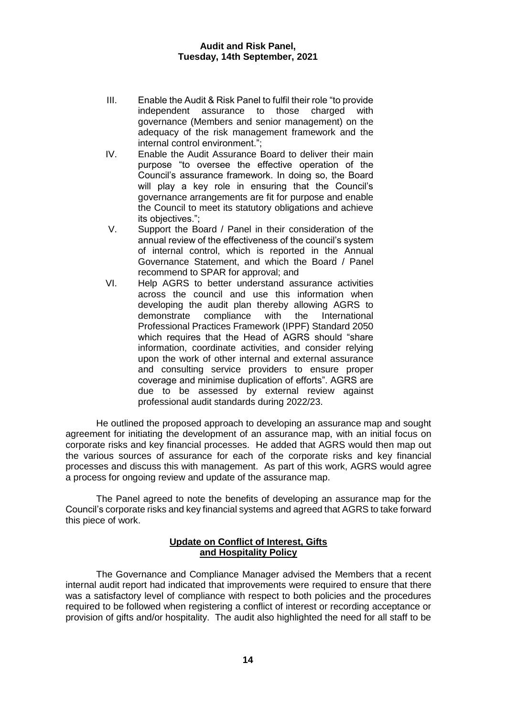- III. Enable the Audit & Risk Panel to fulfil their role "to provide independent assurance to those charged with governance (Members and senior management) on the adequacy of the risk management framework and the internal control environment.";
- IV. Enable the Audit Assurance Board to deliver their main purpose "to oversee the effective operation of the Council's assurance framework. In doing so, the Board will play a key role in ensuring that the Council's governance arrangements are fit for purpose and enable the Council to meet its statutory obligations and achieve its objectives.";
- V. Support the Board / Panel in their consideration of the annual review of the effectiveness of the council's system of internal control, which is reported in the Annual Governance Statement, and which the Board / Panel recommend to SPAR for approval; and
- VI. Help AGRS to better understand assurance activities across the council and use this information when developing the audit plan thereby allowing AGRS to demonstrate compliance with the International Professional Practices Framework (IPPF) Standard 2050 which requires that the Head of AGRS should "share information, coordinate activities, and consider relying upon the work of other internal and external assurance and consulting service providers to ensure proper coverage and minimise duplication of efforts". AGRS are due to be assessed by external review against professional audit standards during 2022/23.

He outlined the proposed approach to developing an assurance map and sought agreement for initiating the development of an assurance map, with an initial focus on corporate risks and key financial processes. He added that AGRS would then map out the various sources of assurance for each of the corporate risks and key financial processes and discuss this with management. As part of this work, AGRS would agree a process for ongoing review and update of the assurance map.

The Panel agreed to note the benefits of developing an assurance map for the Council's corporate risks and key financial systems and agreed that AGRS to take forward this piece of work.

# **Update on Conflict of Interest, Gifts and Hospitality Policy**

The Governance and Compliance Manager advised the Members that a recent internal audit report had indicated that improvements were required to ensure that there was a satisfactory level of compliance with respect to both policies and the procedures required to be followed when registering a conflict of interest or recording acceptance or provision of gifts and/or hospitality. The audit also highlighted the need for all staff to be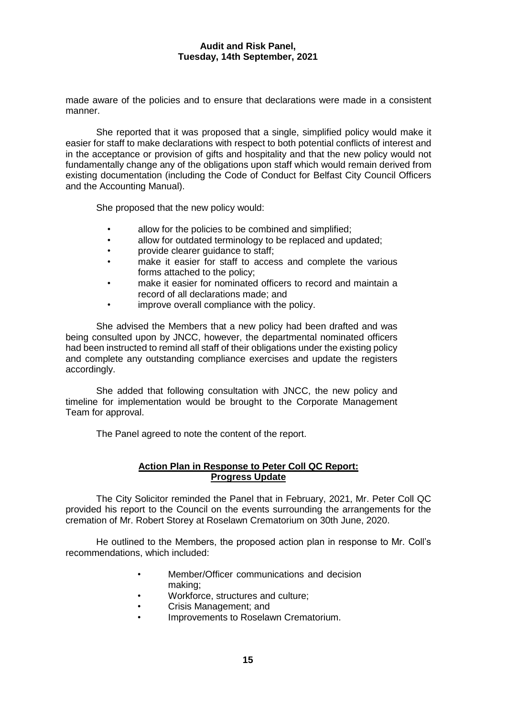made aware of the policies and to ensure that declarations were made in a consistent manner.

She reported that it was proposed that a single, simplified policy would make it easier for staff to make declarations with respect to both potential conflicts of interest and in the acceptance or provision of gifts and hospitality and that the new policy would not fundamentally change any of the obligations upon staff which would remain derived from existing documentation (including the Code of Conduct for Belfast City Council Officers and the Accounting Manual).

She proposed that the new policy would:

- allow for the policies to be combined and simplified;
- allow for outdated terminology to be replaced and updated;
- provide clearer guidance to staff;
- make it easier for staff to access and complete the various forms attached to the policy;
- make it easier for nominated officers to record and maintain a record of all declarations made; and
- improve overall compliance with the policy.

She advised the Members that a new policy had been drafted and was being consulted upon by JNCC, however, the departmental nominated officers had been instructed to remind all staff of their obligations under the existing policy and complete any outstanding compliance exercises and update the registers accordingly.

She added that following consultation with JNCC, the new policy and timeline for implementation would be brought to the Corporate Management Team for approval.

The Panel agreed to note the content of the report.

# **Action Plan in Response to Peter Coll QC Report: Progress Update**

The City Solicitor reminded the Panel that in February, 2021, Mr. Peter Coll QC provided his report to the Council on the events surrounding the arrangements for the cremation of Mr. Robert Storey at Roselawn Crematorium on 30th June, 2020.

He outlined to the Members, the proposed action plan in response to Mr. Coll's recommendations, which included:

- Member/Officer communications and decision making;
- Workforce, structures and culture;
- Crisis Management; and
- Improvements to Roselawn Crematorium.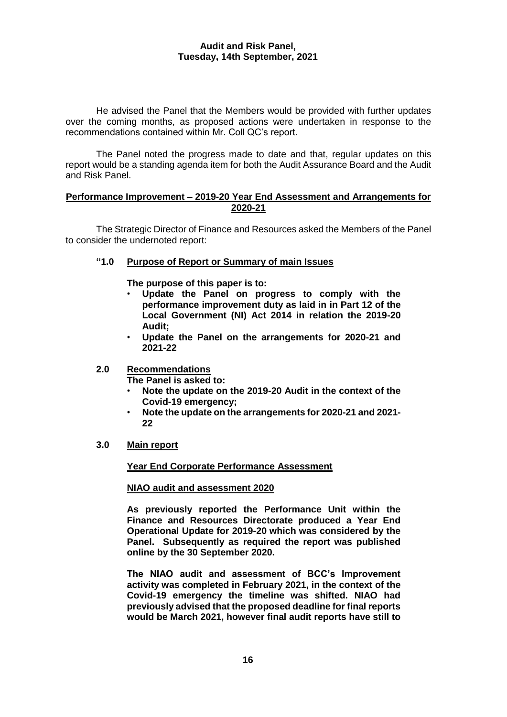He advised the Panel that the Members would be provided with further updates over the coming months, as proposed actions were undertaken in response to the recommendations contained within Mr. Coll QC's report.

The Panel noted the progress made to date and that, regular updates on this report would be a standing agenda item for both the Audit Assurance Board and the Audit and Risk Panel.

# **Performance Improvement – 2019-20 Year End Assessment and Arrangements for 2020-21**

The Strategic Director of Finance and Resources asked the Members of the Panel to consider the undernoted report:

# **"1.0 Purpose of Report or Summary of main Issues**

**The purpose of this paper is to:**

- **Update the Panel on progress to comply with the performance improvement duty as laid in in Part 12 of the Local Government (NI) Act 2014 in relation the 2019-20 Audit;**
- **Update the Panel on the arrangements for 2020-21 and 2021-22**

# **2.0 Recommendations**

**The Panel is asked to:**

- **Note the update on the 2019-20 Audit in the context of the Covid-19 emergency;**
- **Note the update on the arrangements for 2020-21 and 2021- 22**
- **3.0 Main report**

# **Year End Corporate Performance Assessment**

# **NIAO audit and assessment 2020**

**As previously reported the Performance Unit within the Finance and Resources Directorate produced a Year End Operational Update for 2019-20 which was considered by the Panel. Subsequently as required the report was published online by the 30 September 2020.** 

**The NIAO audit and assessment of BCC's Improvement activity was completed in February 2021, in the context of the Covid-19 emergency the timeline was shifted. NIAO had previously advised that the proposed deadline for final reports would be March 2021, however final audit reports have still to**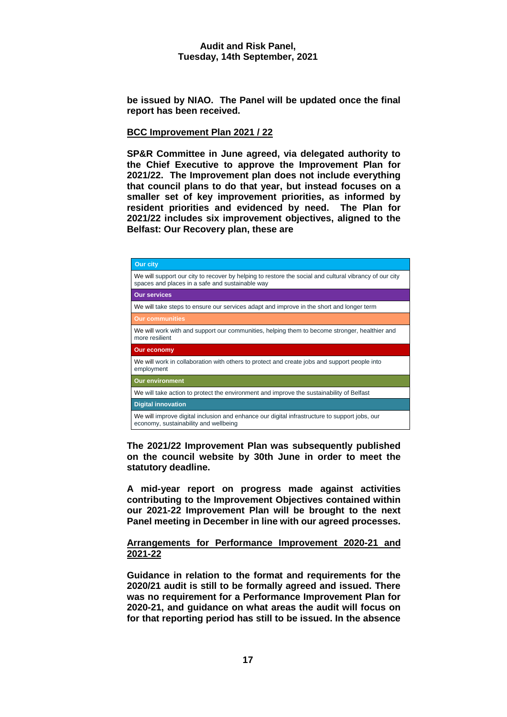**be issued by NIAO. The Panel will be updated once the final report has been received.** 

# **BCC Improvement Plan 2021 / 22**

**SP&R Committee in June agreed, via delegated authority to the Chief Executive to approve the Improvement Plan for 2021/22. The Improvement plan does not include everything that council plans to do that year, but instead focuses on a smaller set of key improvement priorities, as informed by resident priorities and evidenced by need. The Plan for 2021/22 includes six improvement objectives, aligned to the Belfast: Our Recovery plan, these are**

| <b>Our city</b>                                                                                                                                           |  |  |
|-----------------------------------------------------------------------------------------------------------------------------------------------------------|--|--|
| We will support our city to recover by helping to restore the social and cultural vibrancy of our city<br>spaces and places in a safe and sustainable way |  |  |
| <b>Our services</b>                                                                                                                                       |  |  |
| We will take steps to ensure our services adapt and improve in the short and longer term                                                                  |  |  |
| <b>Our communities</b>                                                                                                                                    |  |  |
| We will work with and support our communities, helping them to become stronger, healthier and<br>more resilient                                           |  |  |
| Our economy                                                                                                                                               |  |  |
| We will work in collaboration with others to protect and create jobs and support people into<br>employment                                                |  |  |
| <b>Our environment</b>                                                                                                                                    |  |  |
| We will take action to protect the environment and improve the sustainability of Belfast                                                                  |  |  |
| <b>Digital innovation</b>                                                                                                                                 |  |  |
| We will improve digital inclusion and enhance our digital infrastructure to support jobs, our<br>economy, sustainability and wellbeing                    |  |  |

**The 2021/22 Improvement Plan was subsequently published on the council website by 30th June in order to meet the statutory deadline.**

**A mid-year report on progress made against activities contributing to the Improvement Objectives contained within our 2021-22 Improvement Plan will be brought to the next Panel meeting in December in line with our agreed processes.**

# **Arrangements for Performance Improvement 2020-21 and 2021-22**

**Guidance in relation to the format and requirements for the 2020/21 audit is still to be formally agreed and issued. There was no requirement for a Performance Improvement Plan for 2020-21, and guidance on what areas the audit will focus on for that reporting period has still to be issued. In the absence**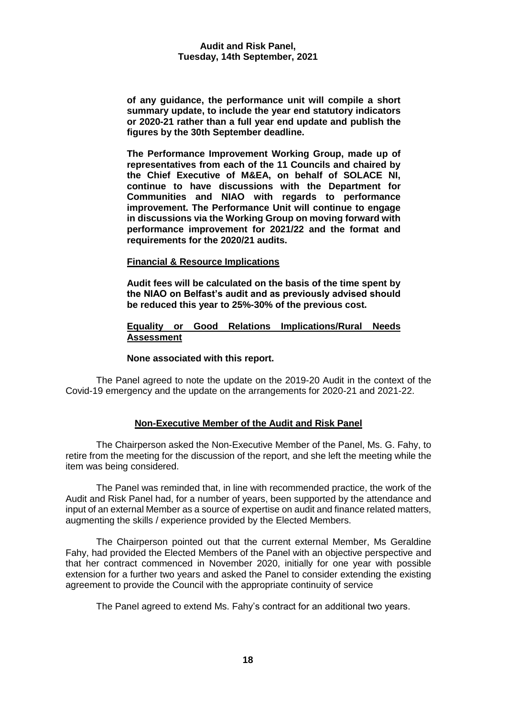**of any guidance, the performance unit will compile a short summary update, to include the year end statutory indicators or 2020-21 rather than a full year end update and publish the figures by the 30th September deadline.**

**The Performance Improvement Working Group, made up of representatives from each of the 11 Councils and chaired by the Chief Executive of M&EA, on behalf of SOLACE NI, continue to have discussions with the Department for Communities and NIAO with regards to performance improvement. The Performance Unit will continue to engage in discussions via the Working Group on moving forward with performance improvement for 2021/22 and the format and requirements for the 2020/21 audits.** 

# **Financial & Resource Implications**

**Audit fees will be calculated on the basis of the time spent by the NIAO on Belfast's audit and as previously advised should be reduced this year to 25%-30% of the previous cost.**

# **Equality or Good Relations Implications/Rural Needs Assessment**

# **None associated with this report.**

The Panel agreed to note the update on the 2019-20 Audit in the context of the Covid-19 emergency and the update on the arrangements for 2020-21 and 2021-22.

# **Non-Executive Member of the Audit and Risk Panel**

The Chairperson asked the Non-Executive Member of the Panel, Ms. G. Fahy, to retire from the meeting for the discussion of the report, and she left the meeting while the item was being considered.

The Panel was reminded that, in line with recommended practice, the work of the Audit and Risk Panel had, for a number of years, been supported by the attendance and input of an external Member as a source of expertise on audit and finance related matters, augmenting the skills / experience provided by the Elected Members.

The Chairperson pointed out that the current external Member, Ms Geraldine Fahy, had provided the Elected Members of the Panel with an objective perspective and that her contract commenced in November 2020, initially for one year with possible extension for a further two years and asked the Panel to consider extending the existing agreement to provide the Council with the appropriate continuity of service

The Panel agreed to extend Ms. Fahy's contract for an additional two years.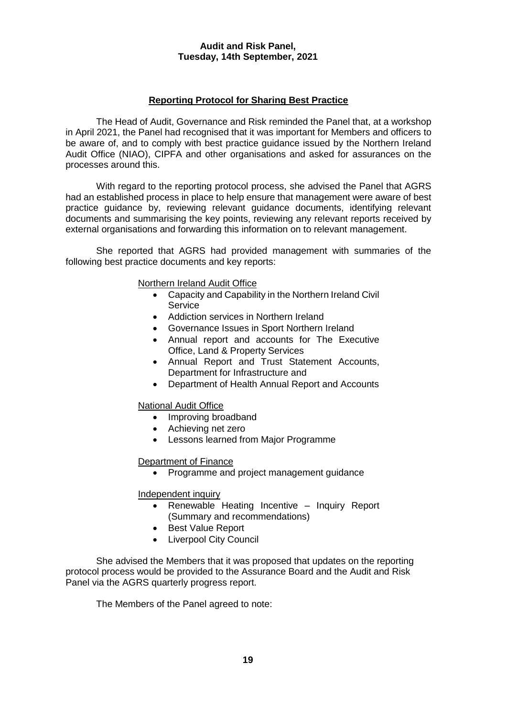# **Reporting Protocol for Sharing Best Practice**

The Head of Audit, Governance and Risk reminded the Panel that, at a workshop in April 2021, the Panel had recognised that it was important for Members and officers to be aware of, and to comply with best practice guidance issued by the Northern Ireland Audit Office (NIAO), CIPFA and other organisations and asked for assurances on the processes around this.

With regard to the reporting protocol process, she advised the Panel that AGRS had an established process in place to help ensure that management were aware of best practice guidance by, reviewing relevant guidance documents, identifying relevant documents and summarising the key points, reviewing any relevant reports received by external organisations and forwarding this information on to relevant management.

She reported that AGRS had provided management with summaries of the following best practice documents and key reports:

Northern Ireland Audit Office

- Capacity and Capability in the Northern Ireland Civil **Service**
- Addiction services in Northern Ireland
- Governance Issues in Sport Northern Ireland
- Annual report and accounts for The Executive Office, Land & Property Services
- Annual Report and Trust Statement Accounts, Department for Infrastructure and
- Department of Health Annual Report and Accounts

National Audit Office

- Improving broadband
- Achieving net zero
- Lessons learned from Major Programme

# Department of Finance

Programme and project management guidance

# Independent inquiry

- Renewable Heating Incentive Inquiry Report (Summary and recommendations)
- Best Value Report
- Liverpool City Council

She advised the Members that it was proposed that updates on the reporting protocol process would be provided to the Assurance Board and the Audit and Risk Panel via the AGRS quarterly progress report.

The Members of the Panel agreed to note: